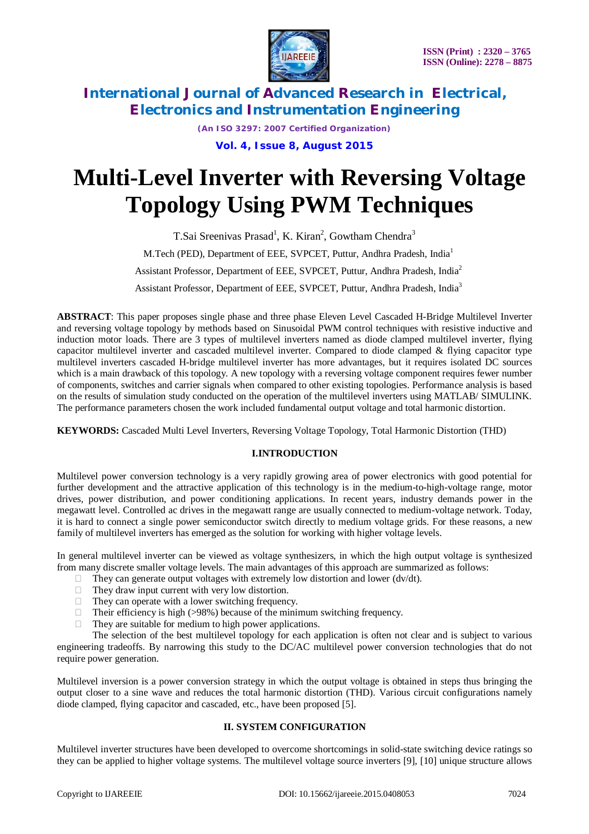

*(An ISO 3297: 2007 Certified Organization)* **Vol. 4, Issue 8, August 2015**

# **Multi-Level Inverter with Reversing Voltage Topology Using PWM Techniques**

T.Sai Sreenivas Prasad<sup>1</sup>, K. Kiran<sup>2</sup>, Gowtham Chendra<sup>3</sup> M.Tech (PED), Department of EEE, SVPCET, Puttur, Andhra Pradesh, India<sup>1</sup> Assistant Professor, Department of EEE, SVPCET, Puttur, Andhra Pradesh, India<sup>2</sup> Assistant Professor, Department of EEE, SVPCET, Puttur, Andhra Pradesh, India<sup>3</sup>

**ABSTRACT**: This paper proposes single phase and three phase Eleven Level Cascaded H-Bridge Multilevel Inverter and reversing voltage topology by methods based on Sinusoidal PWM control techniques with resistive inductive and induction motor loads. There are 3 types of multilevel inverters named as diode clamped multilevel inverter, flying capacitor multilevel inverter and cascaded multilevel inverter. Compared to diode clamped & flying capacitor type multilevel inverters cascaded H-bridge multilevel inverter has more advantages, but it requires isolated DC sources which is a main drawback of this topology. A new topology with a reversing voltage component requires fewer number of components, switches and carrier signals when compared to other existing topologies. Performance analysis is based on the results of simulation study conducted on the operation of the multilevel inverters using MATLAB/ SIMULINK. The performance parameters chosen the work included fundamental output voltage and total harmonic distortion.

**KEYWORDS:** Cascaded Multi Level Inverters, Reversing Voltage Topology, Total Harmonic Distortion (THD)

### **I.INTRODUCTION**

Multilevel power conversion technology is a very rapidly growing area of power electronics with good potential for further development and the attractive application of this technology is in the medium-to-high-voltage range, motor drives, power distribution, and power conditioning applications. In recent years, industry demands power in the megawatt level. Controlled ac drives in the megawatt range are usually connected to medium-voltage network. Today, it is hard to connect a single power semiconductor switch directly to medium voltage grids. For these reasons, a new family of multilevel inverters has emerged as the solution for working with higher voltage levels.

In general multilevel inverter can be viewed as voltage synthesizers, in which the high output voltage is synthesized from many discrete smaller voltage levels. The main advantages of this approach are summarized as follows:

- $\Box$  They can generate output voltages with extremely low distortion and lower (dv/dt).
- $\Box$  They draw input current with very low distortion.
- $\Box$  They can operate with a lower switching frequency.
- $\Box$  Their efficiency is high (>98%) because of the minimum switching frequency.
- $\Box$  They are suitable for medium to high power applications.

The selection of the best multilevel topology for each application is often not clear and is subject to various engineering tradeoffs. By narrowing this study to the DC/AC multilevel power conversion technologies that do not require power generation.

Multilevel inversion is a power conversion strategy in which the output voltage is obtained in steps thus bringing the output closer to a sine wave and reduces the total harmonic distortion (THD). Various circuit configurations namely diode clamped, flying capacitor and cascaded, etc., have been proposed [5].

### **II. SYSTEM CONFIGURATION**

Multilevel inverter structures have been developed to overcome shortcomings in solid-state switching device ratings so they can be applied to higher voltage systems. The multilevel voltage source inverters [9], [10] unique structure allows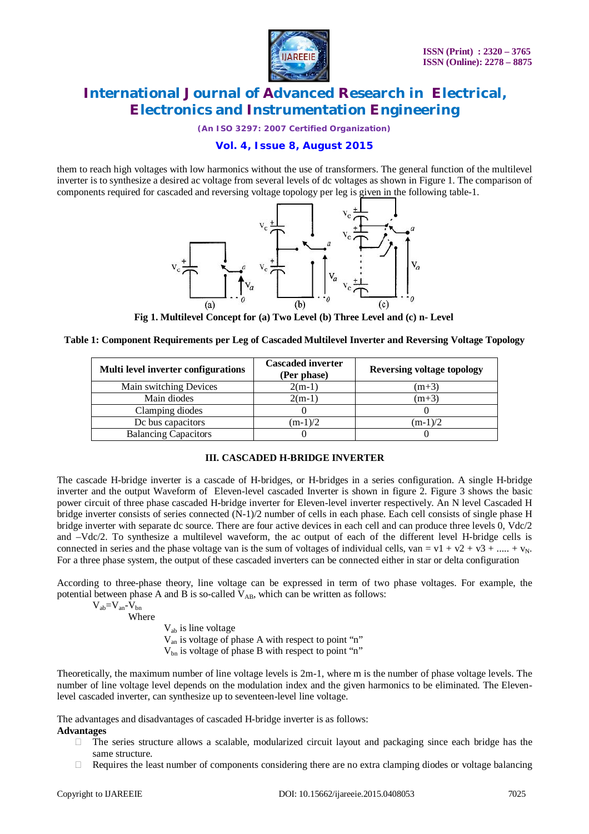

*(An ISO 3297: 2007 Certified Organization)*

# **Vol. 4, Issue 8, August 2015**

them to reach high voltages with low harmonics without the use of transformers. The general function of the multilevel inverter is to synthesize a desired ac voltage from several levels of dc voltages as shown in Figure 1. The comparison of components required for cascaded and reversing voltage topology per leg is given in the following table-1.



**Fig 1. Multilevel Concept for (a) Two Level (b) Three Level and (c) n- Level**

|  |  | Table 1: Component Requirements per Leg of Cascaded Multilevel Inverter and Reversing Voltage Topology |  |  |
|--|--|--------------------------------------------------------------------------------------------------------|--|--|
|--|--|--------------------------------------------------------------------------------------------------------|--|--|

| Multi level inverter configurations | <b>Cascaded inverter</b><br>(Per phase) | <b>Reversing voltage topology</b> |
|-------------------------------------|-----------------------------------------|-----------------------------------|
| Main switching Devices              | $2(m-1)$                                | $(m+3)$                           |
| Main diodes                         | $2(m-1)$                                | $(m+3)$                           |
| Clamping diodes                     |                                         |                                   |
| Dc bus capacitors                   | $(m-1)/2$                               | $(m-1)/2$                         |
| <b>Balancing Capacitors</b>         |                                         |                                   |

### **III. CASCADED H-BRIDGE INVERTER**

The cascade H-bridge inverter is a cascade of H-bridges, or H-bridges in a series configuration. A single H-bridge inverter and the output Waveform of Eleven-level cascaded Inverter is shown in figure 2. Figure 3 shows the basic power circuit of three phase cascaded H-bridge inverter for Eleven-level inverter respectively. An N level Cascaded H bridge inverter consists of series connected (N-1)/2 number of cells in each phase. Each cell consists of single phase H bridge inverter with separate dc source. There are four active devices in each cell and can produce three levels 0, Vdc/2 and –Vdc/2. To synthesize a multilevel waveform, the ac output of each of the different level H-bridge cells is connected in series and the phase voltage van is the sum of voltages of individual cells, van =  $v1 + v2 + v3 + \dots + v_N$ . For a three phase system, the output of these cascaded inverters can be connected either in star or delta configuration

According to three-phase theory, line voltage can be expressed in term of two phase voltages. For example, the potential between phase A and B is so-called  $V_{AB}$ , which can be written as follows:

 $V_{ab}=V_{an}-V_{bn}$ Where

Vab is line voltage Van is voltage of phase A with respect to point "n" Vbn is voltage of phase B with respect to point "n"

Theoretically, the maximum number of line voltage levels is 2m-1, where m is the number of phase voltage levels. The number of line voltage level depends on the modulation index and the given harmonics to be eliminated. The Elevenlevel cascaded inverter, can synthesize up to seventeen-level line voltage.

The advantages and disadvantages of cascaded H-bridge inverter is as follows: **Advantages**

- $\Box$  The series structure allows a scalable, modularized circuit layout and packaging since each bridge has the same structure.
- $\Box$  Requires the least number of components considering there are no extra clamping diodes or voltage balancing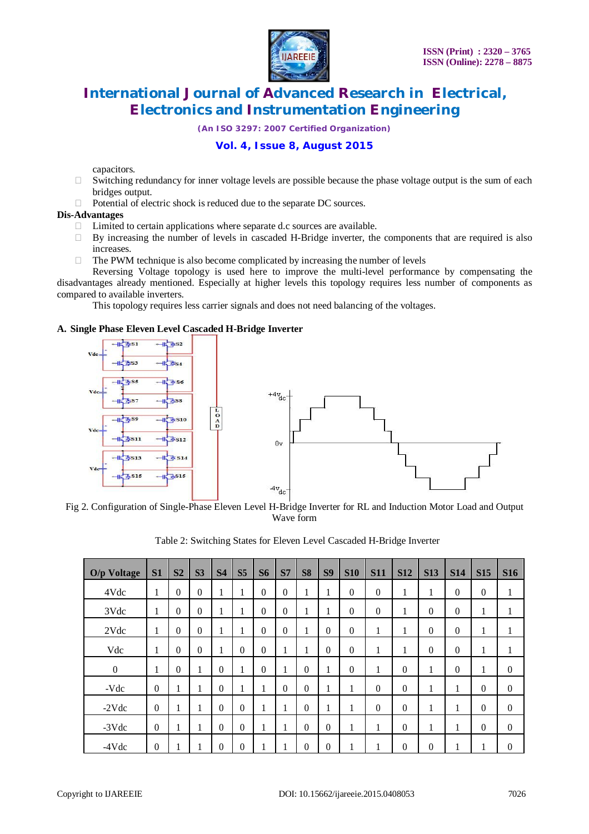

*(An ISO 3297: 2007 Certified Organization)*

# **Vol. 4, Issue 8, August 2015**

capacitors.

- $\Box$  Switching redundancy for inner voltage levels are possible because the phase voltage output is the sum of each bridges output.
- $\Box$  Potential of electric shock is reduced due to the separate DC sources.

#### **Dis-Advantages**

- $\Box$  Limited to certain applications where separate d.c sources are available.
- $\Box$  By increasing the number of levels in cascaded H-Bridge inverter, the components that are required is also increases.
- $\Box$  The PWM technique is also become complicated by increasing the number of levels

Reversing Voltage topology is used here to improve the multi-level performance by compensating the disadvantages already mentioned. Especially at higher levels this topology requires less number of components as compared to available inverters.

This topology requires less carrier signals and does not need balancing of the voltages.

#### **A. Single Phase Eleven Level Cascaded H-Bridge Inverter**



Fig 2. Configuration of Single-Phase Eleven Level H-Bridge Inverter for RL and Induction Motor Load and Output Wave form

| O/p Voltage    | S1             | S <sub>2</sub>    | S <sub>3</sub>   | S <sub>4</sub> | S <sub>5</sub> | <b>S6</b>        | S7               | S <sub>8</sub> | S <sub>9</sub> | <b>S10</b> | <b>S11</b>   | <b>S12</b>   | <b>S13</b> | <b>S14</b>        | <b>S15</b>   | <b>S16</b>       |
|----------------|----------------|-------------------|------------------|----------------|----------------|------------------|------------------|----------------|----------------|------------|--------------|--------------|------------|-------------------|--------------|------------------|
| 4Vdc           | 1              | $\overline{0}$    | $\boldsymbol{0}$ | 1              | $\mathbf{r}$   | $\overline{0}$   | $\boldsymbol{0}$ | 1              | 1              | $\theta$   | $\Omega$     | 1            | 1          | $\Omega$          | $\mathbf{0}$ | 1                |
| 3Vdc           | 1              | $\overline{0}$    | $\theta$         | 1              |                | $\boldsymbol{0}$ | $\boldsymbol{0}$ | 1              | 1              | $\theta$   | $\theta$     | 1            | $\Omega$   | $\Omega$          | 1            | 1                |
| 2Vdc           | 1              | $\overline{0}$    | $\mathbf{0}$     | 1              |                | $\overline{0}$   | $\boldsymbol{0}$ | 1              | $\Omega$       | $\theta$   | 1            | 1            | $\theta$   | $\theta$          | 1            | 1                |
| Vdc            | 1              | $\overline{0}$    | $\mathbf{0}$     | 1              | $\mathbf{0}$   | $\overline{0}$   | 1<br>1           | 1<br>1         | $\theta$       | $\theta$   | 1            | 1            | $\Omega$   | $\overline{0}$    | 1            | 1                |
| $\overline{0}$ | 1              | $\overline{0}$    | 1                | $\Omega$       |                | $\theta$         | $\bf{l}$         | $\theta$       | 1              | $\theta$   | 1            | $\Omega$     | 1          | $\Omega$          | 1            | $\theta$         |
| $-Vdc$         | $\theta$       | 1<br>$\mathbf{r}$ | 1                | $\Omega$       |                | 1                | $\Omega$         | $\theta$       | 1              | 1          | $\Omega$     | $\theta$     | 1          | 1.                | $\theta$     | $\mathbf{0}$     |
| $-2Vdc$        | $\overline{0}$ | 1<br>$\mathbf{r}$ | 1                | $\Omega$       | $\mathbf{0}$   | 1                | 1<br>T           | $\theta$       | 1              | 1<br>1     | $\mathbf{0}$ | $\mathbf{0}$ | 1          | 1.                | $\theta$     | $\mathbf{0}$     |
| $-3Vdc$        | $\theta$       | 1<br>$\bf{l}$     | 1                | $\Omega$       | $\theta$       | 1                | 1                | $\theta$       | $\Omega$       | 1          | 1            | $\Omega$     | 1          | 1<br>$\mathbf{I}$ | $\mathbf{0}$ | $\mathbf{0}$     |
| $-4Vdc$        | $\overline{0}$ | T                 |                  | $\theta$       | $\theta$       | 1                | T                | $\theta$       | $\theta$       | T          | 1            | $\mathbf{0}$ | $\theta$   |                   | 1<br>1       | $\boldsymbol{0}$ |

Table 2: Switching States for Eleven Level Cascaded H-Bridge Inverter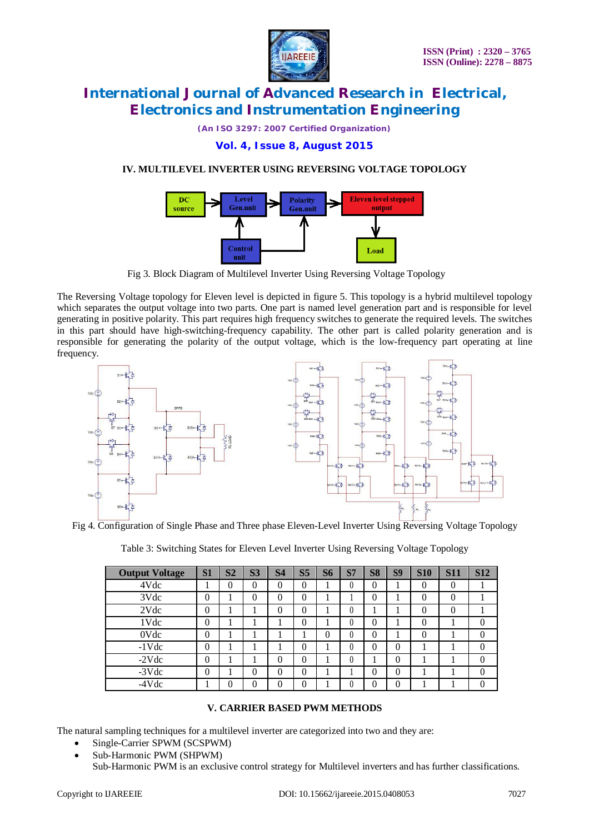

*(An ISO 3297: 2007 Certified Organization)*

# **Vol. 4, Issue 8, August 2015**

# **IV. MULTILEVEL INVERTER USING REVERSING VOLTAGE TOPOLOGY**



Fig 3. Block Diagram of Multilevel Inverter Using Reversing Voltage Topology

The Reversing Voltage topology for Eleven level is depicted in figure 5. This topology is a hybrid multilevel topology which separates the output voltage into two parts. One part is named level generation part and is responsible for level generating in positive polarity. This part requires high frequency switches to generate the required levels. The switches in this part should have high-switching-frequency capability. The other part is called polarity generation and is responsible for generating the polarity of the output voltage, which is the low-frequency part operating at line frequency.



Fig 4. Configuration of Single Phase and Three phase Eleven-Level Inverter Using Reversing Voltage Topology

| Table 3: Switching States for Eleven Level Inverter Using Reversing Voltage Topology |  |  |
|--------------------------------------------------------------------------------------|--|--|
|--------------------------------------------------------------------------------------|--|--|

| <b>Output Voltage</b> | S <sub>1</sub> | S <sub>2</sub> | S <sub>3</sub> | S <sub>4</sub> | S <sub>5</sub> | S6 | S <sub>7</sub> | <b>S8</b> | <b>S9</b> | <b>S10</b> | <b>S11</b> | <b>S12</b> |
|-----------------------|----------------|----------------|----------------|----------------|----------------|----|----------------|-----------|-----------|------------|------------|------------|
| 4Vdc                  |                | 0              | 0              | $\theta$       | $\overline{0}$ |    | 0              | $\Omega$  | ı.        |            | $\theta$   |            |
| 3Vdc                  | 0              |                | 0              | $\theta$       | $\theta$       |    |                | $\theta$  |           |            | $\theta$   |            |
| 2Vdc                  | 0              |                |                | $\theta$       | 0              |    | $\theta$       |           |           |            | $\Omega$   |            |
| 1Vdc                  | 0              |                | ш              |                | $\theta$       |    | $\theta$       | $\theta$  |           |            |            | $\theta$   |
| 0Vdc                  | 0              |                |                |                |                | 0  | $\theta$       | $\theta$  |           |            |            | $\Omega$   |
| $-1$ Vdc              | 0              |                |                |                | $\theta$       |    | 0              | $\Omega$  | $\theta$  |            |            | $\theta$   |
| $-2Vdc$               | 0              |                |                | $\theta$       | $\theta$       |    | $\theta$       |           | $\theta$  |            |            | $\theta$   |
| $-3Vdc$               | 0              |                | 0              | $\Omega$       | $\theta$       |    |                | $\theta$  | $\theta$  |            |            | $\Omega$   |
| $-4Vdc$               |                | 0              | 0              | 0              | 0              |    |                | 0         | $\theta$  |            |            | $\Omega$   |

### **V. CARRIER BASED PWM METHODS**

The natural sampling techniques for a multilevel inverter are categorized into two and they are:

- Single-Carrier SPWM (SCSPWM)
- Sub-Harmonic PWM (SHPWM)

Sub-Harmonic PWM is an exclusive control strategy for Multilevel inverters and has further classifications.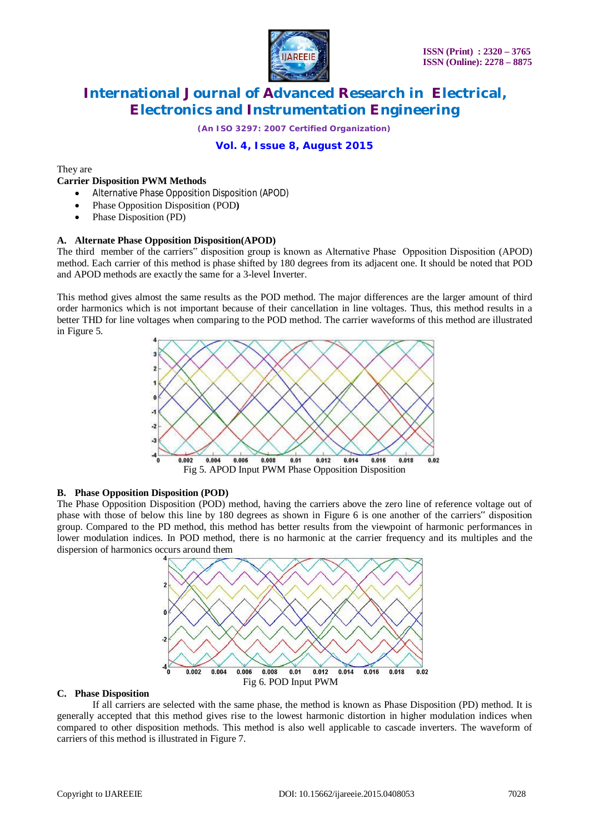

*(An ISO 3297: 2007 Certified Organization)*

# **Vol. 4, Issue 8, August 2015**

They are

#### **Carrier Disposition PWM Methods**

- Alternative Phase Opposition Disposition (APOD)
- Phase Opposition Disposition (POD**)**
- Phase Disposition (PD)

#### **A. Alternate Phase Opposition Disposition(APOD)**

The third member of the carriers" disposition group is known as Alternative Phase Opposition Disposition (APOD) method. Each carrier of this method is phase shifted by 180 degrees from its adjacent one. It should be noted that POD and APOD methods are exactly the same for a 3-level Inverter.

This method gives almost the same results as the POD method. The major differences are the larger amount of third order harmonics which is not important because of their cancellation in line voltages. Thus, this method results in a better THD for line voltages when comparing to the POD method. The carrier waveforms of this method are illustrated in Figure 5.



#### **B. Phase Opposition Disposition (POD)**

The Phase Opposition Disposition (POD) method, having the carriers above the zero line of reference voltage out of phase with those of below this line by 180 degrees as shown in Figure 6 is one another of the carriers" disposition group. Compared to the PD method, this method has better results from the viewpoint of harmonic performances in lower modulation indices. In POD method, there is no harmonic at the carrier frequency and its multiples and the dispersion of harmonics occurs around them



#### **C. Phase Disposition**

If all carriers are selected with the same phase, the method is known as Phase Disposition (PD) method. It is generally accepted that this method gives rise to the lowest harmonic distortion in higher modulation indices when compared to other disposition methods. This method is also well applicable to cascade inverters. The waveform of carriers of this method is illustrated in Figure 7.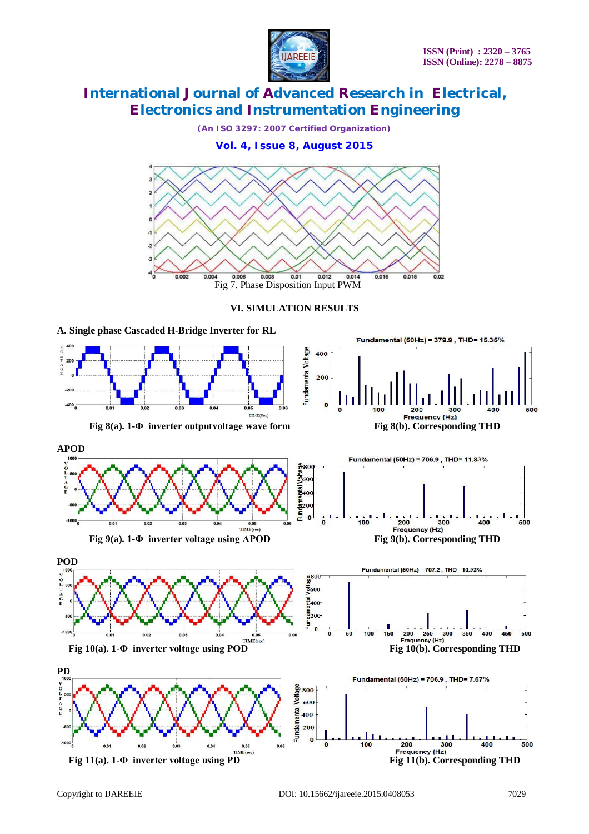

*(An ISO 3297: 2007 Certified Organization)*

**Vol. 4, Issue 8, August 2015**



# **VI. SIMULATION RESULTS**

**A. Single phase Cascaded H-Bridge Inverter for RL**

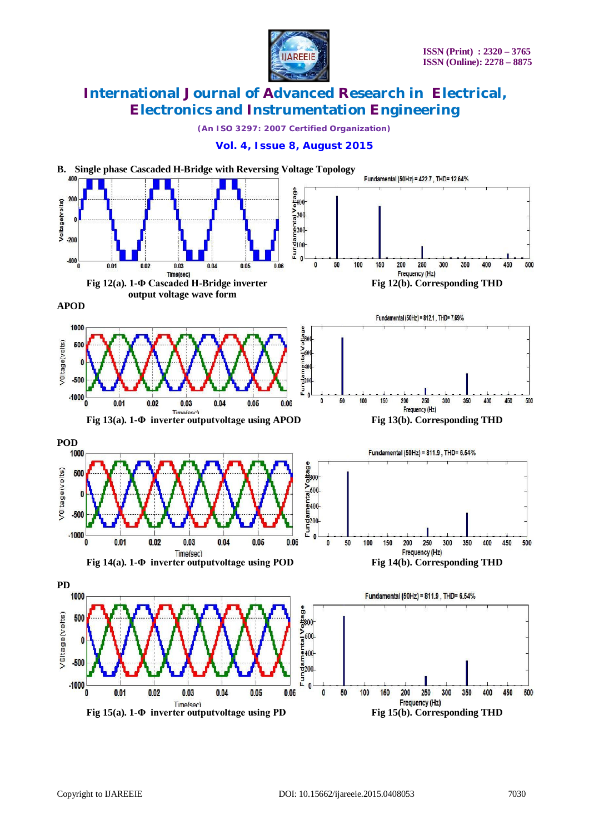

*(An ISO 3297: 2007 Certified Organization)*

### **Vol. 4, Issue 8, August 2015**

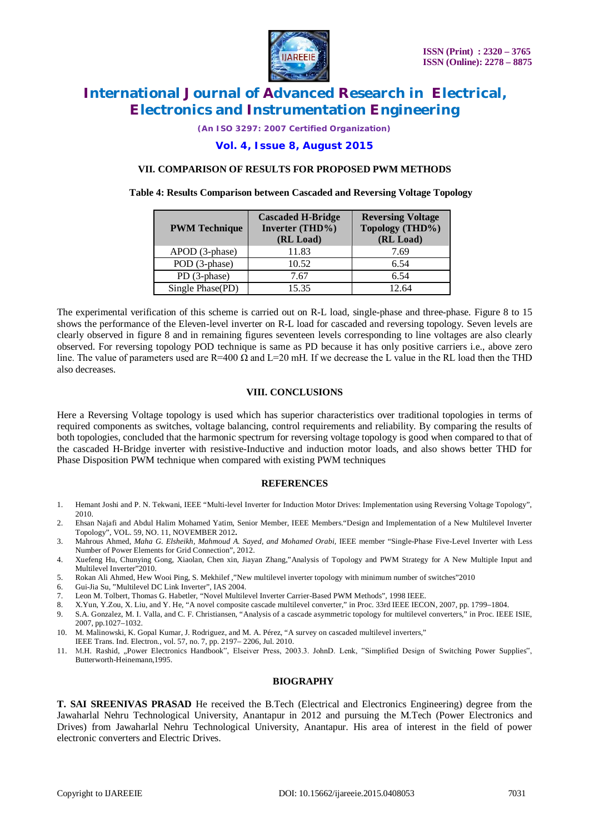

*(An ISO 3297: 2007 Certified Organization)*

### **Vol. 4, Issue 8, August 2015**

#### **VII. COMPARISON OF RESULTS FOR PROPOSED PWM METHODS**

#### **Table 4: Results Comparison between Cascaded and Reversing Voltage Topology**

| <b>PWM Technique</b> | <b>Cascaded H-Bridge</b><br>Inverter (THD%)<br>(RL Load) | <b>Reversing Voltage</b><br>Topology (THD%)<br>(RL Load) |  |  |  |
|----------------------|----------------------------------------------------------|----------------------------------------------------------|--|--|--|
| APOD (3-phase)       | 11.83                                                    | 7.69                                                     |  |  |  |
| POD (3-phase)        | 10.52                                                    | 6.54                                                     |  |  |  |
| PD (3-phase)         | 7.67                                                     | 6.54                                                     |  |  |  |
| Single Phase(PD)     | 15.35                                                    | 12.64                                                    |  |  |  |

The experimental verification of this scheme is carried out on R-L load, single-phase and three-phase. Figure 8 to 15 shows the performance of the Eleven-level inverter on R-L load for cascaded and reversing topology. Seven levels are clearly observed in figure 8 and in remaining figures seventeen levels corresponding to line voltages are also clearly observed. For reversing topology POD technique is same as PD because it has only positive carriers i.e., above zero line. The value of parameters used are  $R=400 \Omega$  and  $L=20 \text{ mH}$ . If we decrease the L value in the RL load then the THD also decreases.

#### **VIII. CONCLUSIONS**

Here a Reversing Voltage topology is used which has superior characteristics over traditional topologies in terms of required components as switches, voltage balancing, control requirements and reliability. By comparing the results of both topologies, concluded that the harmonic spectrum for reversing voltage topology is good when compared to that of the cascaded H-Bridge inverter with resistive-Inductive and induction motor loads, and also shows better THD for Phase Disposition PWM technique when compared with existing PWM techniques

#### **REFERENCES**

- 1. Hemant Joshi and P. N. Tekwani, IEEE "Multi-level Inverter for Induction Motor Drives: Implementation using Reversing Voltage Topology", 2010.
- 2. Ehsan Najafi and Abdul Halim Mohamed Yatim, Senior Member, IEEE Members."Design and Implementation of a New Multilevel Inverter Topology", VOL. 59, NO. 11, NOVEMBER 2012**.**
- 3. Mahrous Ahmed, *Maha G. Elsheikh, Mahmoud A. Sayed, and Mohamed Orabi,* IEEE member "Single-Phase Five-Level Inverter with Less Number of Power Elements for Grid Connection", 2012.
- 4. Xuefeng Hu, Chunying Gong, Xiaolan, Chen xin, Jiayan Zhang,"Analysis of Topology and PWM Strategy for A New Multiple Input and Multilevel Inverter"2010.
- 5. Rokan Ali Ahmed, Hew Wooi Ping, S. Mekhilef ,"New multilevel inverter topology with minimum number of switches"2010
- 6. Gui-Jia Su, "Multilevel DC Link Inverter", IAS 2004.
- 7. Leon M. Tolbert, Thomas G. Habetler, "Novel Multilevel Inverter Carrier-Based PWM Methods", 1998 IEEE.
- 8. X.Yun, Y.Zou, X. Liu, and Y. He, "A novel composite cascade multilevel converter," in Proc. 33rd IEEE IECON, 2007, pp. 1799–1804.
- 9. S.A. Gonzalez, M. I. Valla, and C. F. Christiansen, "Analysis of a cascade asymmetric topology for multilevel converters," in Proc. IEEE ISIE, 2007, pp.1027–1032.

10. M. Malinowski, K. Gopal Kumar, J. Rodriguez, and M. A. Pérez, "A survey on cascaded multilevel inverters," IEEE Trans. Ind. Electron., vol. 57, no. 7, pp. 2197– 2206, Jul. 2010.

11. M.H. Rashid, "Power Electronics Handbook", Elseiver Press, 2003.3. JohnD. Lenk, "Simplified Design of Switching Power Supplies", Butterworth-Heinemann,1995.

#### **BIOGRAPHY**

**T. SAI SREENIVAS PRASAD** He received the B.Tech (Electrical and Electronics Engineering) degree from the Jawaharlal Nehru Technological University, Anantapur in 2012 and pursuing the M.Tech (Power Electronics and Drives) from Jawaharlal Nehru Technological University, Anantapur. His area of interest in the field of power electronic converters and Electric Drives.